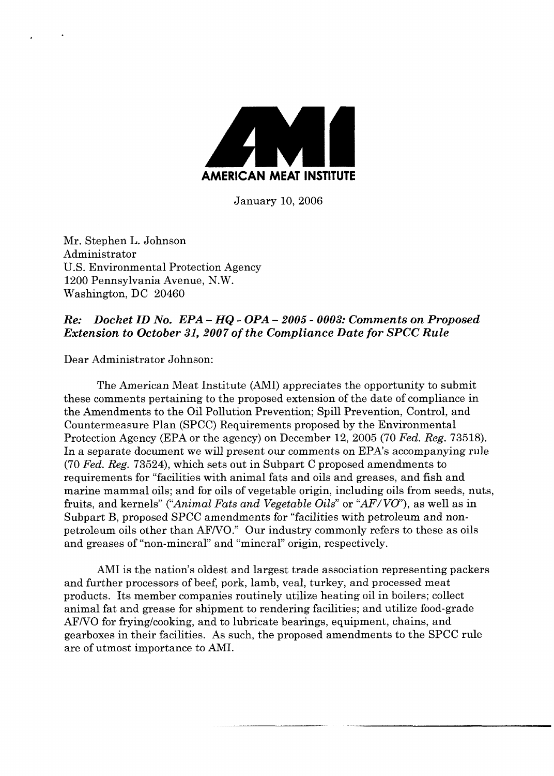

January 10,2006

Mr. Stephen L. Johnson Administrator U.S. Environmental Protection Agency 1200 Pennsylvania Avenue, N.W. Washington, DC 20460

## *Re: Docket ID No. EPA* -*HQ* - *OPA*- *<sup>2005</sup>*- *0003: Comments on Proposed Extension to October 31, 2007 of the Compliance Date for SPCC Rule*

Dear Administrator Johnson:

The American Meat Institute (AMI) appreciates the opportunity to submit these comments pertaining to the proposed extension of the date of compliance in the Amendments to the Oil Pollution Prevention; Spill Prevention, Control, and Countermeasure Plan (SPCC) Requirements proposed by the Environmental Protection Agency (EPA or the agency) on December 12, 2005 (70 Fed. Reg. 73518). In a separate document we will present our comments on EPA's accompanying rule (70 Fed. Reg. 73524), which sets out in Subpart C proposed amendments to requirements for "facilities with animal fats and oils and greases, and fish and marine mammal oils; and for oils of vegetable origin, including oils from seeds, nuts, fruits, and kernels" ("Animal Fats and Vegetable Oils" or "AF/VO"), as well as in Subpart B, proposed SPCC amendments for "facilities with petroleum and nonpetroleum oils other than AFIVO." Our industry commonly refers to these as oils and greases of "non-mineral" and "mineral" origin, respectively.

AM1 is the nation's oldest and largest trade association representing packers and further processors of beef, pork, lamb, veal, turkey, and processed meat products. Its member companies routinely utilize heating oil in boilers; collect animal fat and grease for shipment to rendering facilities; and utilize food-grade AF/VO for frying/cooking, and to lubricate bearings, equipment, chains, and gearboxes in their facilities. As such, the proposed amendments to the SPCC rule are of utmost importance to AMI.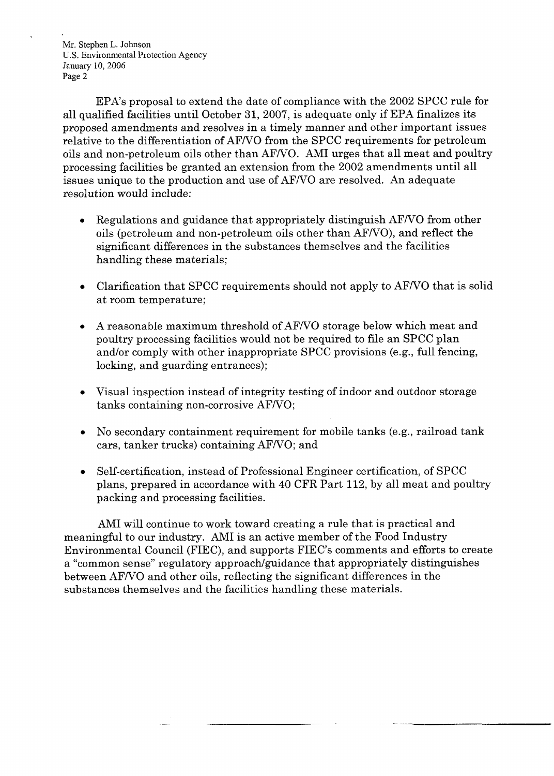Mr. Stephen L. Johnson U.S. Environmental Protection Agency January 10,2006 Page 2

EPA's proposal to extend the date of compliance with the 2002 SPCC rule for all qualified facilities until October 31, 2007, is adequate only if EPA finalizes its proposed amendments and resolves in a timely manner and other important issues relative to the differentiation of AFNO from the SPCC requirements for petroleum oils and non-petroleum oils other than AFNO. AM1 urges that all meat and poultry processing facilities be granted an extension from the 2002 amendments until all issues unique to the production and use of AFNO are resolved. An adequate resolution would include:

- Regulations and guidance that appropriately distinguish AFNO from other oils (petroleum and non-petroleum oils other than AFNO), and reflect the significant differences in the substances themselves and the facilities handling these materials;
- Clarification that SPCC requirements should not apply to AFNO that is solid at room temperature;
- A reasonable maximum threshold of AFNO storage below which meat and poultry processing facilities would not be required to file an SPCC plan and/or comply with other inappropriate SPCC provisions (e.g., full fencing, locking, and guarding entrances);
- **a** Visual inspection instead of integrity testing of indoor and outdoor storage tanks containing non-corrosive AFNO;
- No secondary containment requirement for mobile tanks (e.g., railroad tank cars, tanker trucks) containing AFNO; and
- Self-certification, instead of Professional Engineer certification, of SPCC plans, prepared in accordance with 40 CFR Part 112, by all meat and poultry packing and processing facilities.

AM1 will continue to work toward creating a rule that is practical and meaningful to our industry. AM1 is an active member of the Food Industry Environmental Council (FIEC), and supports FIEC's comments and efforts to create a "common sense" regulatory approachlguidance that appropriately distinguishes between AFNO and other oils, reflecting the significant differences in the substances themselves and the facilities handling these materials.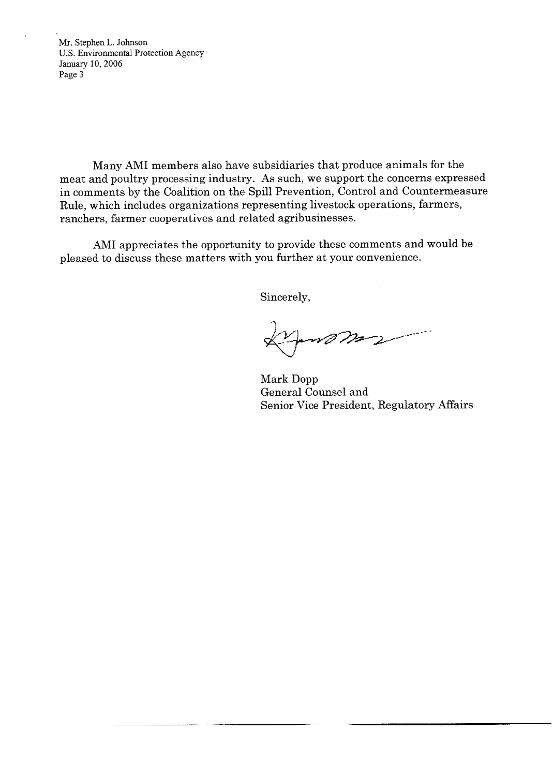Mr. Stephen L. Johnson U.S. Environmental Protection Agency January 10,2006 Page 3

Many AM1 members also have subsidiaries that produce animals for the meat and poultry processing industry. As such, we support the concerns expressed in comments by the Coalition on the Spill Prevention, Control and Countermeasure Rule, which includes organizations representing livestock operations, farmers, ranchers, farmer cooperatives and related agribusinesses.

**AM1** appreciates the opportunity to provide these comments and would be pleased to discuss these matters with you further at your convenience.

Sincerely,

nom

Mark Dopp General Counsel and Senior Vice President, Regulatory Affairs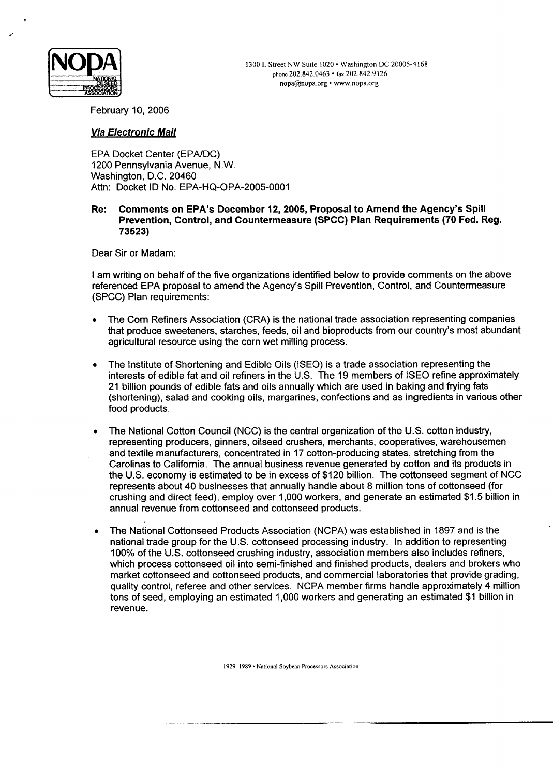

February 10, 2006

## **Via ElectronicMail**

EPA Docket Center (EPAIDC) 1200 Pennsylvania Avenue, N.W. Washington, D.C. 20460 Attn: Docket ID No. EPA-HQ-OPA-2005-0001

## **Re: Comments on EPA's December 12,2005, Proposal to Amend the Agency's Spill Prevention, Control, and Countermeasure (SPCC) Plan Requirements(70 Fed. Reg. 73523)**

Dear Sir or Madam:

Iam writing on behalf of the five organizations identified below to provide comments on the above referenced EPA proposal to amend the Agency's Spill Prevention, Control, and Countermeasure (SPCC) Plan requirements:

- The Corn Refiners Association (CRA) is the national trade association representing companies that produce sweeteners, starches, feeds, oil and bioproducts from our country's most abundant agricultural resource using the corn wet milling process.
- The Institute of Shortening and Edible Oils (ISEO) is a trade association representing the interests of edible fat and oil refiners in the U.S. The 19 members of ISEO refine approximately 21 billion pounds of edible fats and oils annually which are used in baking and frying fats (shortening), salad and cooking oils, margarines, confections and as ingredients in various other food products.
- The National Cotton Council (NCC) is the central organization of the U.S. cotton industry, representing producers, ginners, oilseed crushers, merchants, cooperatives, warehousemen and textile manufacturers, concentrated in 17 cotton-producing states, stretching from the Carolinas to California. The annual business revenue generated by cotton and its products in the U.S. economy is estimated to be in excess of \$120 billion. The cottonseed segment of NCC represents about 40 businesses that annually handle about 8 million tons of cottonseed (for crushing and direct feed), employ over 1,000 workers, and generate an estimated \$1.5 billion in annual revenue from cottonseed and cottonseed products.
- The National Cottonseed Products Association (NCPA) was established in 1897 and is the national trade group for the U.S. cottonseed processing industry. In addition to representing 100% of the U.S. cottonseed crushing industry, association members also includes refiners, which process cottonseed oil into semi-finished and finished products, dealers and brokers who market cottonseed and cottonseed products, and commercial laboratoriesthat provide grading, quality control, referee and other services. NCPA member firms handle approximately **4** million tons of seed, employing an estimated 1,000 workers and generating an estimated \$1 billion in revenue.

**1929-1989 National Soybean Processors Association**